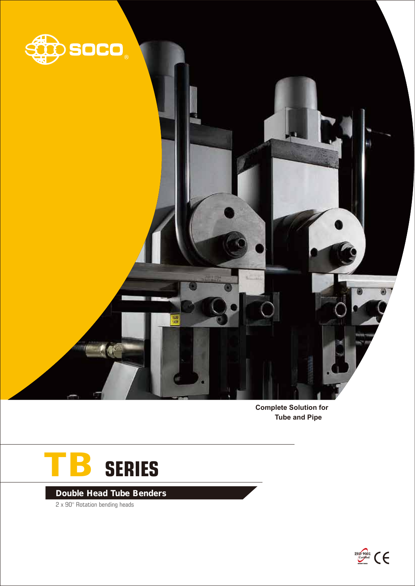

**Complete Solution for Tube and Pipe** 



Double Head Tube Benders

2 x 90° Rotation bending heads